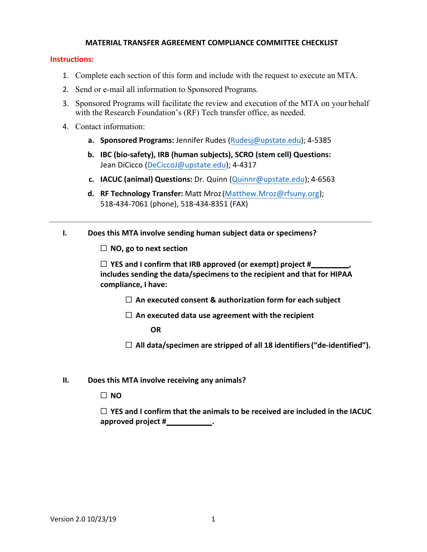## **MATERIAL TRANSFER AGREEMENT COMPLIANCE COMMITTEE CHECKLIST**

## **Instructions:**

- 1. Complete each section of this form and include with the request to execute an MTA.
- 2. Send or e-mail all information to Sponsored Programs.
- 3. Sponsored Programs will facilitate the review and execution of the MTA on your behalf with the Research Foundation's (RF) Tech transfer office, as needed.
- 4. Contact information:
	- **a. Sponsored Programs:** Jennifer Rudes [\(Rudesj@upstate.edu\)](mailto:Rudesj@upstate.edu); 4-5385
	- **b. IBC (bio-safety), IRB (human subjects), SCRO (stem cell) Questions:** Jean DiCicco ([DeCiccoJ@upstate.edu](mailto:Benedim@upstate.edu)); 4-4317
	- **c. IACUC (animal) Questions:** Dr. Quinn [\(Quinnr@upstate.edu\);](mailto:Quinnr@upstate.edu) 4-6563
	- **d. RF Technology Transfer:** Matt Mroz[\(Matthew.Mroz@rfsuny.org\)](mailto:Matthew.Mroz@rfsuny.org)[;](tel://5184347061/) 518-[434-7061 \(](tel://5184347061/)phone), [518-434-8351](tel://5184348351/) (FAX)

## **I. Does this MTA involve sending human subject data or specimens?**

☐ **NO, go to next section**

☐ **YES and I confirm that IRB approved (or exempt) project # , includes sending the data/specimens to the recipient and that for HIPAA compliance, I have:**

☐ **An executed consent & authorization form for each subject**

☐ **An executed data use agreement with the recipient**

**OR**

☐ **All data/specimen are stripped of all 18 identifiers("de-identified").**

**II. Does this MTA involve receiving any animals?**

☐ **NO**

☐ **YES and I confirm that the animals to be received are included in the IACUC approved** project #\_\_\_\_\_\_\_\_\_\_\_\_.